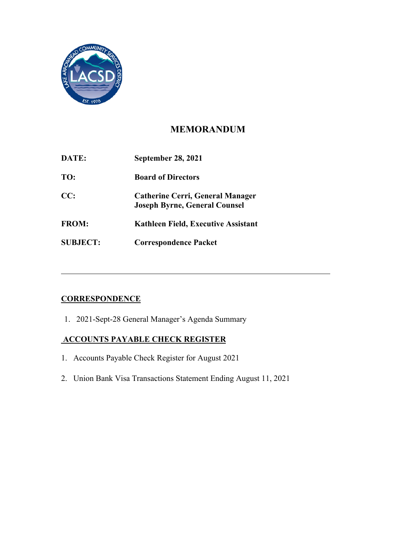

## **MEMORANDUM**

| DATE:           | <b>September 28, 2021</b>                                                       |
|-----------------|---------------------------------------------------------------------------------|
| TO:             | <b>Board of Directors</b>                                                       |
| CC:             | <b>Catherine Cerri, General Manager</b><br><b>Joseph Byrne, General Counsel</b> |
| <b>FROM:</b>    | Kathleen Field, Executive Assistant                                             |
| <b>SUBJECT:</b> | <b>Correspondence Packet</b>                                                    |

# **CORRESPONDENCE**

1. 2021-Sept-28 General Manager's Agenda Summary

## **ACCOUNTS PAYABLE CHECK REGISTER**

- 1. Accounts Payable Check Register for August 2021
- 2. Union Bank Visa Transactions Statement Ending August 11, 2021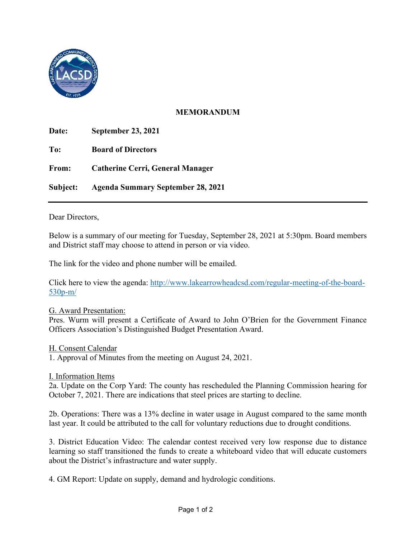

## **MEMORANDUM**

 **Date: September 23, 2021 Board of Directors Catherine Cerri, General Manager To: Board of Directors From: Catherine Cerri, General Manager Subject: Agenda Summary September 28, 2021** 

Dear Directors,

 Below is a summary of our meeting for Tuesday, September 28, 2021 at 5:30pm. Board members and District staff may choose to attend in person or via video.

The link for the video and phone number will be emailed.

Click here to view the agenda: [http://www.lakearrowheadcsd.com/regular-meeting-of-the-board-](http://www.lakearrowheadcsd.com/regular-meeting-of-the-board-530p-m/)[530p-m/](http://www.lakearrowheadcsd.com/regular-meeting-of-the-board-530p-m/) 

#### G. Award Presentation:

 Officers Association's Distinguished Budget Presentation Award. Pres. Wurm will present a Certificate of Award to John O'Brien for the Government Finance

H. Consent Calendar

1. Approval of Minutes from the meeting on August 24, 2021.

I. Information Items

 October 7, 2021. There are indications that steel prices are starting to decline. 2a. Update on the Corp Yard: The county has rescheduled the Planning Commission hearing for

2b. Operations: There was a 13% decline in water usage in August compared to the same month last year. It could be attributed to the call for voluntary reductions due to drought conditions.

 learning so staff transitioned the funds to create a whiteboard video that will educate customers 3. District Education Video: The calendar contest received very low response due to distance about the District's infrastructure and water supply.

4. GM Report: Update on supply, demand and hydrologic conditions.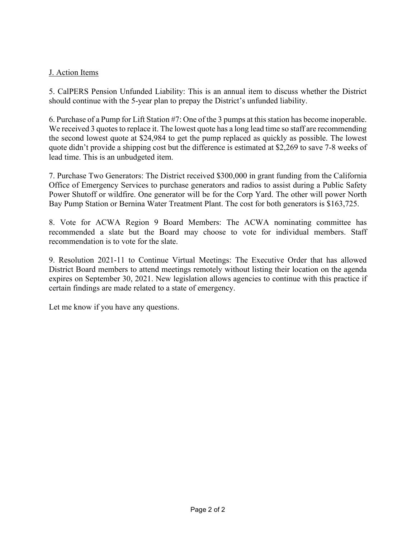### J. Action Items

5. CalPERS Pension Unfunded Liability: This is an annual item to discuss whether the District should continue with the 5-year plan to prepay the District's unfunded liability.

 the second lowest quote at \$24,984 to get the pump replaced as quickly as possible. The lowest 6. Purchase of a Pump for Lift Station #7: One of the 3 pumps at this station has become inoperable. We received 3 quotes to replace it. The lowest quote has a long lead time so staff are recommending quote didn't provide a shipping cost but the difference is estimated at \$2,269 to save 7-8 weeks of lead time. This is an unbudgeted item.

 7. Purchase Two Generators: The District received \$300,000 in grant funding from the California Office of Emergency Services to purchase generators and radios to assist during a Public Safety Power Shutoff or wildfire. One generator will be for the Corp Yard. The other will power North Bay Pump Station or Bernina Water Treatment Plant. The cost for both generators is \$163,725.

8. Vote for ACWA Region 9 Board Members: The ACWA nominating committee has recommended a slate but the Board may choose to vote for individual members. Staff recommendation is to vote for the slate.

9. Resolution 2021-11 to Continue Virtual Meetings: The Executive Order that has allowed District Board members to attend meetings remotely without listing their location on the agenda expires on September 30, 2021. New legislation allows agencies to continue with this practice if certain findings are made related to a state of emergency.

Let me know if you have any questions.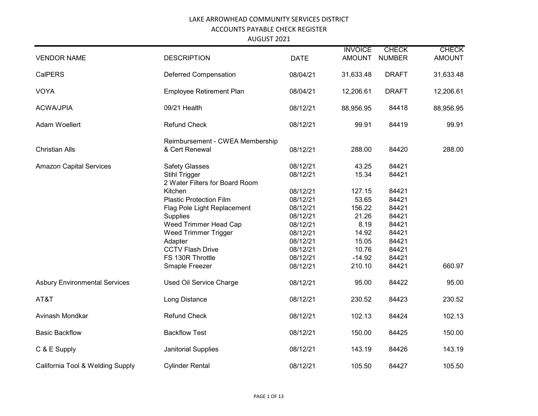|                                      |                                                 |             | <b>INVOICE</b> | <b>CHECK</b>  | <b>CHECK</b>  |
|--------------------------------------|-------------------------------------------------|-------------|----------------|---------------|---------------|
| <b>VENDOR NAME</b>                   | <b>DESCRIPTION</b>                              | <b>DATE</b> | <b>AMOUNT</b>  | <b>NUMBER</b> | <b>AMOUNT</b> |
| <b>CalPERS</b>                       | <b>Deferred Compensation</b>                    | 08/04/21    | 31,633.48      | <b>DRAFT</b>  | 31,633.48     |
| <b>VOYA</b>                          | Employee Retirement Plan                        | 08/04/21    | 12,206.61      | <b>DRAFT</b>  | 12,206.61     |
| <b>ACWA/JPIA</b>                     | 09/21 Health                                    | 08/12/21    | 88,956.95      | 84418         | 88,956.95     |
| Adam Woellert                        | <b>Refund Check</b>                             | 08/12/21    | 99.91          | 84419         | 99.91         |
|                                      | Reimbursement - CWEA Membership                 |             |                |               |               |
| <b>Christian Alls</b>                | & Cert Renewal                                  | 08/12/21    | 288.00         | 84420         | 288.00        |
| <b>Amazon Capital Services</b>       | <b>Safety Glasses</b>                           | 08/12/21    | 43.25          | 84421         |               |
|                                      | Stihl Trigger<br>2 Water Filters for Board Room | 08/12/21    | 15.34          | 84421         |               |
|                                      | Kitchen                                         | 08/12/21    | 127.15         | 84421         |               |
|                                      | <b>Plastic Protection Film</b>                  | 08/12/21    | 53.65          | 84421         |               |
|                                      | Flag Pole Light Replacement                     | 08/12/21    | 156.22         | 84421         |               |
|                                      | Supplies                                        | 08/12/21    | 21.26          | 84421         |               |
|                                      | Weed Trimmer Head Cap                           | 08/12/21    | 8.19           | 84421         |               |
|                                      | Weed Trimmer Trigger                            | 08/12/21    | 14.92          | 84421         |               |
|                                      | Adapter                                         | 08/12/21    | 15.05          | 84421         |               |
|                                      | <b>CCTV Flash Drive</b>                         | 08/12/21    | 10.76          | 84421         |               |
|                                      | FS 130R Throttle                                | 08/12/21    | $-14.92$       | 84421         |               |
|                                      | Smaple Freezer                                  | 08/12/21    | 210.10         | 84421         | 660.97        |
| <b>Asbury Environmental Services</b> | Used Oil Service Charge                         | 08/12/21    | 95.00          | 84422         | 95.00         |
| AT&T                                 | Long Distance                                   | 08/12/21    | 230.52         | 84423         | 230.52        |
| Avinash Mondkar                      | <b>Refund Check</b>                             | 08/12/21    | 102.13         | 84424         | 102.13        |
| <b>Basic Backflow</b>                | <b>Backflow Test</b>                            | 08/12/21    | 150.00         | 84425         | 150.00        |
| C & E Supply                         | Janitorial Supplies                             | 08/12/21    | 143.19         | 84426         | 143.19        |
| California Tool & Welding Supply     | <b>Cylinder Rental</b>                          | 08/12/21    | 105.50         | 84427         | 105.50        |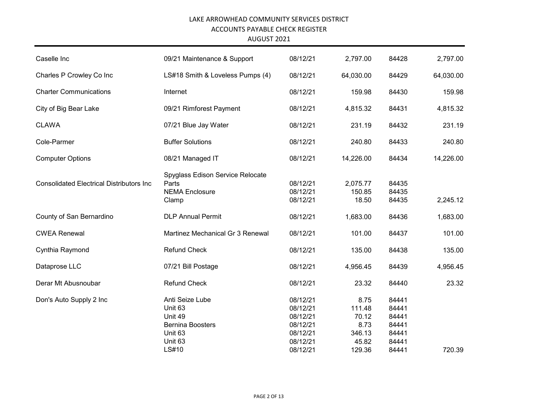| Caselle Inc                                      | 09/21 Maintenance & Support                                                                     | 08/12/21                                                             | 2,797.00                                           | 84428                                              | 2,797.00  |
|--------------------------------------------------|-------------------------------------------------------------------------------------------------|----------------------------------------------------------------------|----------------------------------------------------|----------------------------------------------------|-----------|
| Charles P Crowley Co Inc                         | LS#18 Smith & Loveless Pumps (4)                                                                | 08/12/21                                                             | 64,030.00                                          | 84429                                              | 64,030.00 |
| <b>Charter Communications</b>                    | Internet                                                                                        | 08/12/21                                                             | 159.98                                             | 84430                                              | 159.98    |
| City of Big Bear Lake                            | 09/21 Rimforest Payment                                                                         | 08/12/21                                                             | 4,815.32                                           | 84431                                              | 4,815.32  |
| <b>CLAWA</b>                                     | 07/21 Blue Jay Water                                                                            | 08/12/21                                                             | 231.19                                             | 84432                                              | 231.19    |
| Cole-Parmer                                      | <b>Buffer Solutions</b>                                                                         | 08/12/21                                                             | 240.80                                             | 84433                                              | 240.80    |
| <b>Computer Options</b>                          | 08/21 Managed IT                                                                                | 08/12/21                                                             | 14,226.00                                          | 84434                                              | 14,226.00 |
| <b>Consolidated Electrical Distributors Inc.</b> | Spyglass Edison Service Relocate<br>Parts<br><b>NEMA Enclosure</b><br>Clamp                     | 08/12/21<br>08/12/21<br>08/12/21                                     | 2,075.77<br>150.85<br>18.50                        | 84435<br>84435<br>84435                            | 2,245.12  |
| County of San Bernardino                         | <b>DLP Annual Permit</b>                                                                        | 08/12/21                                                             | 1,683.00                                           | 84436                                              | 1,683.00  |
| <b>CWEA Renewal</b>                              | Martinez Mechanical Gr 3 Renewal                                                                | 08/12/21                                                             | 101.00                                             | 84437                                              | 101.00    |
| Cynthia Raymond                                  | <b>Refund Check</b>                                                                             | 08/12/21                                                             | 135.00                                             | 84438                                              | 135.00    |
| Dataprose LLC                                    | 07/21 Bill Postage                                                                              | 08/12/21                                                             | 4,956.45                                           | 84439                                              | 4,956.45  |
| Derar Mt Abusnoubar                              | <b>Refund Check</b>                                                                             | 08/12/21                                                             | 23.32                                              | 84440                                              | 23.32     |
| Don's Auto Supply 2 Inc                          | Anti Seize Lube<br>Unit 63<br>Unit 49<br><b>Bernina Boosters</b><br>Unit 63<br>Unit 63<br>LS#10 | 08/12/21<br>08/12/21<br>08/12/21<br>08/12/21<br>08/12/21<br>08/12/21 | 8.75<br>111.48<br>70.12<br>8.73<br>346.13<br>45.82 | 84441<br>84441<br>84441<br>84441<br>84441<br>84441 | 720.39    |
|                                                  |                                                                                                 | 08/12/21                                                             | 129.36                                             | 84441                                              |           |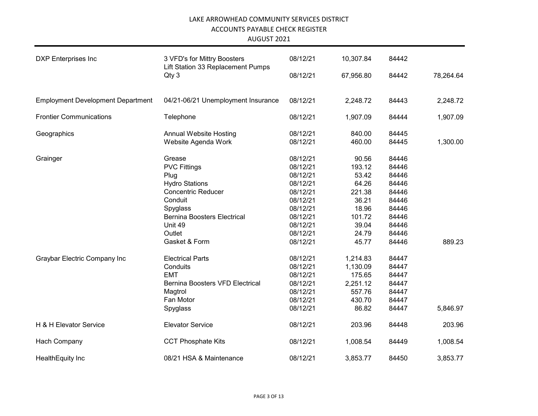| <b>DXP</b> Enterprises Inc               | 3 VFD's for Mittry Boosters                | 08/12/21 | 10,307.84 | 84442 |           |
|------------------------------------------|--------------------------------------------|----------|-----------|-------|-----------|
|                                          | Lift Station 33 Replacement Pumps<br>Qty 3 | 08/12/21 | 67,956.80 | 84442 | 78,264.64 |
|                                          |                                            |          |           |       |           |
| <b>Employment Development Department</b> | 04/21-06/21 Unemployment Insurance         | 08/12/21 | 2,248.72  | 84443 | 2,248.72  |
| <b>Frontier Communications</b>           | Telephone                                  | 08/12/21 | 1,907.09  | 84444 | 1,907.09  |
| Geographics                              | <b>Annual Website Hosting</b>              | 08/12/21 | 840.00    | 84445 |           |
|                                          | Website Agenda Work                        | 08/12/21 | 460.00    | 84445 | 1,300.00  |
| Grainger                                 | Grease                                     | 08/12/21 | 90.56     | 84446 |           |
|                                          | <b>PVC Fittings</b>                        | 08/12/21 | 193.12    | 84446 |           |
|                                          | Plug                                       | 08/12/21 | 53.42     | 84446 |           |
|                                          | <b>Hydro Stations</b>                      | 08/12/21 | 64.26     | 84446 |           |
|                                          | <b>Concentric Reducer</b>                  | 08/12/21 | 221.38    | 84446 |           |
|                                          | Conduit                                    | 08/12/21 | 36.21     | 84446 |           |
|                                          | Spyglass                                   | 08/12/21 | 18.96     | 84446 |           |
|                                          | <b>Bernina Boosters Electrical</b>         | 08/12/21 | 101.72    | 84446 |           |
|                                          | Unit 49                                    | 08/12/21 | 39.04     | 84446 |           |
|                                          | Outlet                                     | 08/12/21 | 24.79     | 84446 |           |
|                                          | Gasket & Form                              | 08/12/21 | 45.77     | 84446 | 889.23    |
| Graybar Electric Company Inc             | <b>Electrical Parts</b>                    | 08/12/21 | 1,214.83  | 84447 |           |
|                                          | Conduits                                   | 08/12/21 | 1,130.09  | 84447 |           |
|                                          | <b>EMT</b>                                 | 08/12/21 | 175.65    | 84447 |           |
|                                          | <b>Bernina Boosters VFD Electrical</b>     | 08/12/21 | 2,251.12  | 84447 |           |
|                                          | Magtrol                                    | 08/12/21 | 557.76    | 84447 |           |
|                                          | Fan Motor                                  | 08/12/21 | 430.70    | 84447 |           |
|                                          | Spyglass                                   | 08/12/21 | 86.82     | 84447 | 5,846.97  |
| H & H Elevator Service                   | <b>Elevator Service</b>                    | 08/12/21 | 203.96    | 84448 | 203.96    |
| Hach Company                             | <b>CCT Phosphate Kits</b>                  | 08/12/21 | 1,008.54  | 84449 | 1,008.54  |
| HealthEquity Inc                         | 08/21 HSA & Maintenance                    | 08/12/21 | 3,853.77  | 84450 | 3,853.77  |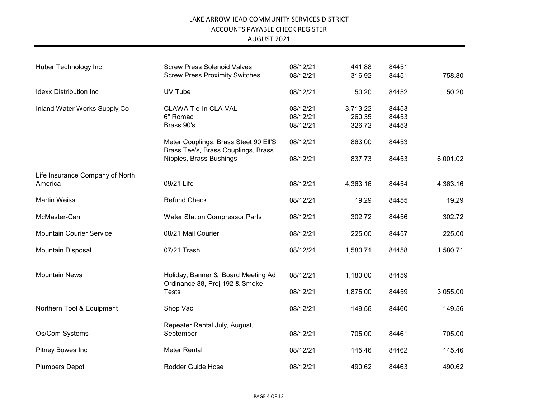| Huber Technology Inc            | <b>Screw Press Solenoid Valves</b><br><b>Screw Press Proximity Switches</b>  | 08/12/21<br>08/12/21             | 441.88<br>316.92             | 84451<br>84451          | 758.80   |
|---------------------------------|------------------------------------------------------------------------------|----------------------------------|------------------------------|-------------------------|----------|
| <b>Idexx Distribution Inc</b>   | UV Tube                                                                      | 08/12/21                         | 50.20                        | 84452                   | 50.20    |
| Inland Water Works Supply Co    | <b>CLAWA Tie-In CLA-VAL</b><br>6" Romac<br>Brass 90's                        | 08/12/21<br>08/12/21<br>08/12/21 | 3,713.22<br>260.35<br>326.72 | 84453<br>84453<br>84453 |          |
|                                 | Meter Couplings, Brass Steet 90 Ell'S<br>Brass Tee's, Brass Couplings, Brass | 08/12/21                         | 863.00                       | 84453                   |          |
|                                 | Nipples, Brass Bushings                                                      | 08/12/21                         | 837.73                       | 84453                   | 6,001.02 |
| Life Insurance Company of North |                                                                              |                                  |                              |                         |          |
| America                         | 09/21 Life                                                                   | 08/12/21                         | 4,363.16                     | 84454                   | 4,363.16 |
| <b>Martin Weiss</b>             | <b>Refund Check</b>                                                          | 08/12/21                         | 19.29                        | 84455                   | 19.29    |
| McMaster-Carr                   | <b>Water Station Compressor Parts</b>                                        | 08/12/21                         | 302.72                       | 84456                   | 302.72   |
| <b>Mountain Courier Service</b> | 08/21 Mail Courier                                                           | 08/12/21                         | 225.00                       | 84457                   | 225.00   |
| Mountain Disposal               | 07/21 Trash                                                                  | 08/12/21                         | 1,580.71                     | 84458                   | 1,580.71 |
| <b>Mountain News</b>            | Holiday, Banner & Board Meeting Ad<br>Ordinance 88, Proj 192 & Smoke         | 08/12/21                         | 1,180.00                     | 84459                   |          |
|                                 | <b>Tests</b>                                                                 | 08/12/21                         | 1,875.00                     | 84459                   | 3,055.00 |
| Northern Tool & Equipment       | Shop Vac                                                                     | 08/12/21                         | 149.56                       | 84460                   | 149.56   |
| Os/Com Systems                  | Repeater Rental July, August,<br>September                                   | 08/12/21                         | 705.00                       | 84461                   | 705.00   |
| Pitney Bowes Inc                | Meter Rental                                                                 | 08/12/21                         | 145.46                       | 84462                   | 145.46   |
| <b>Plumbers Depot</b>           | <b>Rodder Guide Hose</b>                                                     | 08/12/21                         | 490.62                       | 84463                   | 490.62   |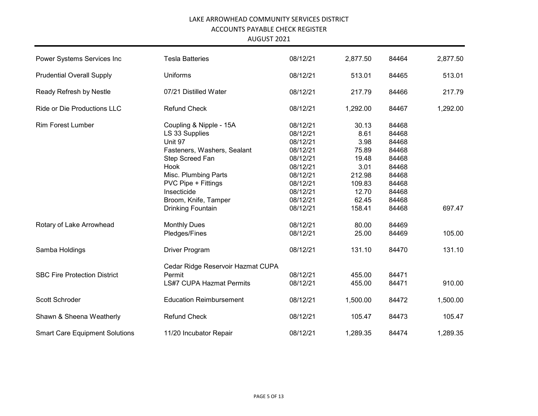| Power Systems Services Inc            | <b>Tesla Batteries</b>            | 08/12/21 | 2,877.50 | 84464 | 2,877.50 |
|---------------------------------------|-----------------------------------|----------|----------|-------|----------|
| <b>Prudential Overall Supply</b>      | Uniforms                          | 08/12/21 | 513.01   | 84465 | 513.01   |
| Ready Refresh by Nestle               | 07/21 Distilled Water             | 08/12/21 | 217.79   | 84466 | 217.79   |
| Ride or Die Productions LLC           | <b>Refund Check</b>               | 08/12/21 | 1,292.00 | 84467 | 1,292.00 |
| <b>Rim Forest Lumber</b>              | Coupling & Nipple - 15A           | 08/12/21 | 30.13    | 84468 |          |
|                                       | LS 33 Supplies                    | 08/12/21 | 8.61     | 84468 |          |
|                                       | Unit 97                           | 08/12/21 | 3.98     | 84468 |          |
|                                       | Fasteners, Washers, Sealant       | 08/12/21 | 75.89    | 84468 |          |
|                                       | Step Screed Fan                   | 08/12/21 | 19.48    | 84468 |          |
|                                       | Hook                              | 08/12/21 | 3.01     | 84468 |          |
|                                       | Misc. Plumbing Parts              | 08/12/21 | 212.98   | 84468 |          |
|                                       | PVC Pipe + Fittings               | 08/12/21 | 109.83   | 84468 |          |
|                                       | Insecticide                       | 08/12/21 | 12.70    | 84468 |          |
|                                       | Broom, Knife, Tamper              | 08/12/21 | 62.45    | 84468 |          |
|                                       | <b>Drinking Fountain</b>          | 08/12/21 | 158.41   | 84468 | 697.47   |
| Rotary of Lake Arrowhead              | <b>Monthly Dues</b>               | 08/12/21 | 80.00    | 84469 |          |
|                                       | Pledges/Fines                     | 08/12/21 | 25.00    | 84469 | 105.00   |
| Samba Holdings                        | Driver Program                    | 08/12/21 | 131.10   | 84470 | 131.10   |
|                                       | Cedar Ridge Reservoir Hazmat CUPA |          |          |       |          |
| <b>SBC Fire Protection District</b>   | Permit                            | 08/12/21 | 455.00   | 84471 |          |
|                                       | <b>LS#7 CUPA Hazmat Permits</b>   | 08/12/21 | 455.00   | 84471 | 910.00   |
| Scott Schroder                        | <b>Education Reimbursement</b>    | 08/12/21 | 1,500.00 | 84472 | 1,500.00 |
| Shawn & Sheena Weatherly              | <b>Refund Check</b>               | 08/12/21 | 105.47   | 84473 | 105.47   |
| <b>Smart Care Equipment Solutions</b> | 11/20 Incubator Repair            | 08/12/21 | 1,289.35 | 84474 | 1,289.35 |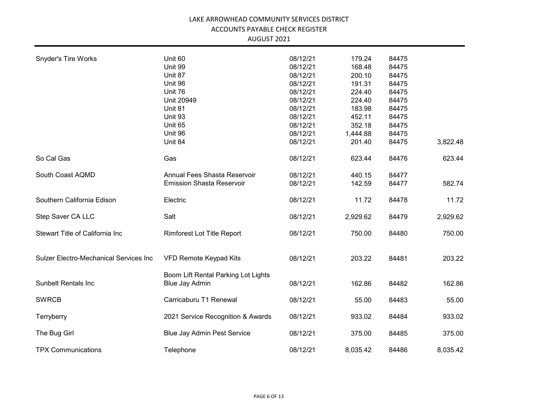| <b>Snyder's Tire Works</b>             | Unit 60                             | 08/12/21 | 179.24   | 84475 |          |
|----------------------------------------|-------------------------------------|----------|----------|-------|----------|
|                                        | Unit 99                             | 08/12/21 | 168.48   | 84475 |          |
|                                        | Unit 87                             | 08/12/21 | 200.10   | 84475 |          |
|                                        | Unit 96                             | 08/12/21 | 191.31   | 84475 |          |
|                                        | Unit 76                             | 08/12/21 | 224.40   | 84475 |          |
|                                        | Unit 20949                          | 08/12/21 | 224.40   | 84475 |          |
|                                        | Unit 81                             | 08/12/21 | 183.98   | 84475 |          |
|                                        | Unit 93                             | 08/12/21 | 452.11   | 84475 |          |
|                                        | Unit 65                             | 08/12/21 | 352.18   | 84475 |          |
|                                        | Unit 96                             | 08/12/21 | 1,444.88 | 84475 |          |
|                                        | Unit 84                             | 08/12/21 | 201.40   | 84475 | 3,822.48 |
| So Cal Gas                             | Gas                                 | 08/12/21 | 623.44   | 84476 | 623.44   |
| South Coast AQMD                       | Annual Fees Shasta Reservoir        | 08/12/21 | 440.15   | 84477 |          |
|                                        | <b>Emission Shasta Reservoir</b>    | 08/12/21 | 142.59   | 84477 | 582.74   |
| Southern California Edison             | Electric                            | 08/12/21 | 11.72    | 84478 | 11.72    |
| Step Saver CA LLC                      | Salt                                | 08/12/21 | 2,929.62 | 84479 | 2,929.62 |
| Stewart Title of California Inc        | Rimforest Lot Title Report          | 08/12/21 | 750.00   | 84480 | 750.00   |
| Sulzer Electro-Mechanical Services Inc | VFD Remote Keypad Kits              | 08/12/21 | 203.22   | 84481 | 203.22   |
|                                        | Boom Lift Rental Parking Lot Lights |          |          |       |          |
| <b>Sunbelt Rentals Inc</b>             | <b>Blue Jay Admin</b>               | 08/12/21 | 162.86   | 84482 | 162.86   |
| <b>SWRCB</b>                           | Carricaburu T1 Renewal              | 08/12/21 | 55.00    | 84483 | 55.00    |
| Terryberry                             | 2021 Service Recognition & Awards   | 08/12/21 | 933.02   | 84484 | 933.02   |
| The Bug Girl                           | <b>Blue Jay Admin Pest Service</b>  | 08/12/21 | 375.00   | 84485 | 375.00   |
| <b>TPX Communications</b>              | Telephone                           | 08/12/21 | 8,035.42 | 84486 | 8,035.42 |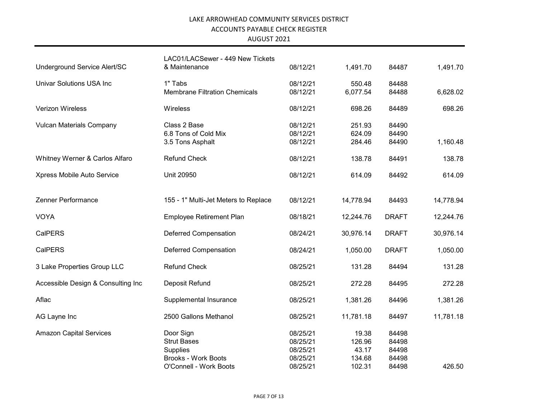| Underground Service Alert/SC       | LAC01/LACSewer - 449 New Tickets<br>& Maintenance | 08/12/21 | 1,491.70  | 84487        | 1,491.70  |
|------------------------------------|---------------------------------------------------|----------|-----------|--------------|-----------|
|                                    |                                                   |          |           |              |           |
| <b>Univar Solutions USA Inc</b>    | 1" Tabs                                           | 08/12/21 | 550.48    | 84488        |           |
|                                    | <b>Membrane Filtration Chemicals</b>              | 08/12/21 | 6,077.54  | 84488        | 6,628.02  |
| Verizon Wireless                   | Wireless                                          | 08/12/21 | 698.26    | 84489        | 698.26    |
| <b>Vulcan Materials Company</b>    | Class 2 Base                                      | 08/12/21 | 251.93    | 84490        |           |
|                                    | 6.8 Tons of Cold Mix                              | 08/12/21 | 624.09    | 84490        |           |
|                                    | 3.5 Tons Asphalt                                  | 08/12/21 | 284.46    | 84490        | 1,160.48  |
| Whitney Werner & Carlos Alfaro     | <b>Refund Check</b>                               | 08/12/21 | 138.78    | 84491        | 138.78    |
|                                    |                                                   |          |           |              |           |
| Xpress Mobile Auto Service         | Unit 20950                                        | 08/12/21 | 614.09    | 84492        | 614.09    |
|                                    |                                                   |          |           |              |           |
| Zenner Performance                 | 155 - 1" Multi-Jet Meters to Replace              | 08/12/21 | 14,778.94 | 84493        | 14,778.94 |
| <b>VOYA</b>                        | Employee Retirement Plan                          | 08/18/21 | 12,244.76 | <b>DRAFT</b> | 12,244.76 |
| <b>CalPERS</b>                     | <b>Deferred Compensation</b>                      | 08/24/21 | 30,976.14 | <b>DRAFT</b> | 30,976.14 |
|                                    |                                                   |          |           |              |           |
| <b>CalPERS</b>                     | <b>Deferred Compensation</b>                      | 08/24/21 | 1,050.00  | <b>DRAFT</b> | 1,050.00  |
| 3 Lake Properties Group LLC        | <b>Refund Check</b>                               | 08/25/21 | 131.28    | 84494        | 131.28    |
| Accessible Design & Consulting Inc | Deposit Refund                                    | 08/25/21 | 272.28    | 84495        | 272.28    |
|                                    |                                                   |          |           |              |           |
| Aflac                              | Supplemental Insurance                            | 08/25/21 | 1,381.26  | 84496        | 1,381.26  |
| AG Layne Inc                       | 2500 Gallons Methanol                             | 08/25/21 | 11,781.18 | 84497        | 11,781.18 |
| <b>Amazon Capital Services</b>     | Door Sign                                         | 08/25/21 | 19.38     | 84498        |           |
|                                    | <b>Strut Bases</b>                                | 08/25/21 | 126.96    | 84498        |           |
|                                    | Supplies                                          | 08/25/21 | 43.17     | 84498        |           |
|                                    | <b>Brooks - Work Boots</b>                        | 08/25/21 | 134.68    | 84498        |           |
|                                    | O'Connell - Work Boots                            | 08/25/21 | 102.31    | 84498        | 426.50    |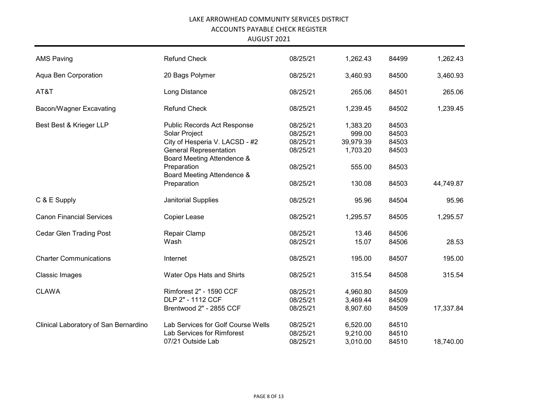| <b>AMS Paving</b>                     | <b>Refund Check</b>                                         | 08/25/21             | 1,262.43           | 84499          | 1,262.43  |
|---------------------------------------|-------------------------------------------------------------|----------------------|--------------------|----------------|-----------|
| Aqua Ben Corporation                  | 20 Bags Polymer                                             | 08/25/21             | 3,460.93           | 84500          | 3,460.93  |
| AT&T                                  | Long Distance                                               | 08/25/21             | 265.06             | 84501          | 265.06    |
| Bacon/Wagner Excavating               | <b>Refund Check</b>                                         | 08/25/21             | 1,239.45           | 84502          | 1,239.45  |
| Best Best & Krieger LLP               | Public Records Act Response<br>Solar Project                | 08/25/21<br>08/25/21 | 1,383.20<br>999.00 | 84503<br>84503 |           |
|                                       | City of Hesperia V. LACSD - #2                              | 08/25/21             | 39,979.39          | 84503          |           |
|                                       | <b>General Representation</b><br>Board Meeting Attendence & | 08/25/21             | 1,703.20           | 84503          |           |
|                                       | Preparation<br>Board Meeting Attendence &                   | 08/25/21             | 555.00             | 84503          |           |
|                                       | Preparation                                                 | 08/25/21             | 130.08             | 84503          | 44,749.87 |
| C & E Supply                          | Janitorial Supplies                                         | 08/25/21             | 95.96              | 84504          | 95.96     |
| <b>Canon Financial Services</b>       | Copier Lease                                                | 08/25/21             | 1,295.57           | 84505          | 1,295.57  |
| <b>Cedar Glen Trading Post</b>        | Repair Clamp                                                | 08/25/21             | 13.46              | 84506          |           |
|                                       | Wash                                                        | 08/25/21             | 15.07              | 84506          | 28.53     |
| <b>Charter Communications</b>         | Internet                                                    | 08/25/21             | 195.00             | 84507          | 195.00    |
| Classic Images                        | Water Ops Hats and Shirts                                   | 08/25/21             | 315.54             | 84508          | 315.54    |
| <b>CLAWA</b>                          | Rimforest 2" - 1590 CCF                                     | 08/25/21             | 4,960.80           | 84509          |           |
|                                       | DLP 2" - 1112 CCF                                           | 08/25/21             | 3,469.44           | 84509          |           |
|                                       | Brentwood 2" - 2855 CCF                                     | 08/25/21             | 8,907.60           | 84509          | 17,337.84 |
| Clinical Laboratory of San Bernardino | Lab Services for Golf Course Wells                          | 08/25/21             | 6,520.00           | 84510          |           |
|                                       | Lab Services for Rimforest                                  | 08/25/21             | 9,210.00           | 84510          |           |
|                                       | 07/21 Outside Lab                                           | 08/25/21             | 3,010.00           | 84510          | 18,740.00 |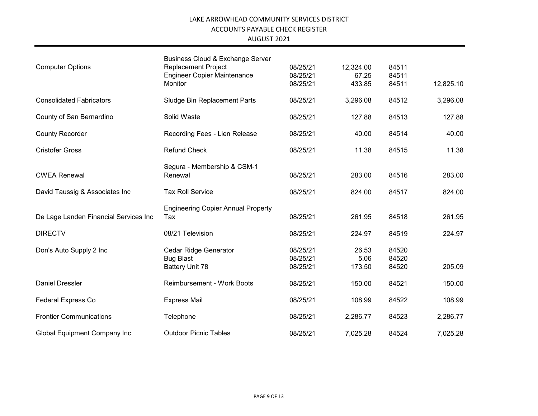|                                       | Business Cloud & Exchange Server          |          |           |       |           |
|---------------------------------------|-------------------------------------------|----------|-----------|-------|-----------|
| <b>Computer Options</b>               | <b>Replacement Project</b>                | 08/25/21 | 12,324.00 | 84511 |           |
|                                       | <b>Engineer Copier Maintenance</b>        | 08/25/21 | 67.25     | 84511 |           |
|                                       | Monitor                                   | 08/25/21 | 433.85    | 84511 | 12,825.10 |
| <b>Consolidated Fabricators</b>       | Sludge Bin Replacement Parts              | 08/25/21 | 3,296.08  | 84512 | 3,296.08  |
| County of San Bernardino              | Solid Waste                               | 08/25/21 | 127.88    | 84513 | 127.88    |
| <b>County Recorder</b>                | Recording Fees - Lien Release             | 08/25/21 | 40.00     | 84514 | 40.00     |
| <b>Cristofer Gross</b>                | <b>Refund Check</b>                       | 08/25/21 | 11.38     | 84515 | 11.38     |
|                                       | Segura - Membership & CSM-1               |          |           |       |           |
| <b>CWEA Renewal</b>                   | Renewal                                   | 08/25/21 | 283.00    | 84516 | 283.00    |
|                                       | <b>Tax Roll Service</b>                   |          |           | 84517 |           |
| David Taussig & Associates Inc        |                                           | 08/25/21 | 824.00    |       | 824.00    |
|                                       | <b>Engineering Copier Annual Property</b> |          |           |       |           |
| De Lage Landen Financial Services Inc | Tax                                       | 08/25/21 | 261.95    | 84518 | 261.95    |
| <b>DIRECTV</b>                        | 08/21 Television                          | 08/25/21 | 224.97    | 84519 | 224.97    |
| Don's Auto Supply 2 Inc               | <b>Cedar Ridge Generator</b>              | 08/25/21 | 26.53     | 84520 |           |
|                                       | <b>Bug Blast</b>                          | 08/25/21 | 5.06      | 84520 |           |
|                                       | <b>Battery Unit 78</b>                    | 08/25/21 | 173.50    | 84520 | 205.09    |
| <b>Daniel Dressler</b>                | <b>Reimbursement - Work Boots</b>         | 08/25/21 | 150.00    | 84521 | 150.00    |
| <b>Federal Express Co</b>             | <b>Express Mail</b>                       | 08/25/21 | 108.99    | 84522 | 108.99    |
| <b>Frontier Communications</b>        | Telephone                                 | 08/25/21 | 2,286.77  | 84523 | 2,286.77  |
| <b>Global Equipment Company Inc</b>   | <b>Outdoor Picnic Tables</b>              | 08/25/21 | 7,025.28  | 84524 | 7,025.28  |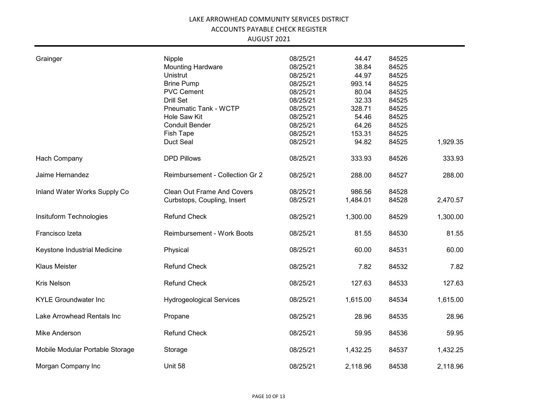| Grainger                        | Nipple                            | 08/25/21 | 44.47    | 84525 |          |
|---------------------------------|-----------------------------------|----------|----------|-------|----------|
|                                 | <b>Mounting Hardware</b>          | 08/25/21 | 38.84    | 84525 |          |
|                                 | <b>Unistrut</b>                   | 08/25/21 | 44.97    | 84525 |          |
|                                 | <b>Brine Pump</b>                 | 08/25/21 | 993.14   | 84525 |          |
|                                 | <b>PVC Cement</b>                 | 08/25/21 | 80.04    | 84525 |          |
|                                 | <b>Drill Set</b>                  | 08/25/21 | 32.33    | 84525 |          |
|                                 | Pneumatic Tank - WCTP             | 08/25/21 | 328.71   | 84525 |          |
|                                 |                                   |          |          |       |          |
|                                 | Hole Saw Kit                      | 08/25/21 | 54.46    | 84525 |          |
|                                 | <b>Conduit Bender</b>             | 08/25/21 | 64.26    | 84525 |          |
|                                 | <b>Fish Tape</b>                  | 08/25/21 | 153.31   | 84525 |          |
|                                 | Duct Seal                         | 08/25/21 | 94.82    | 84525 | 1,929.35 |
| Hach Company                    | <b>DPD Pillows</b>                | 08/25/21 | 333.93   | 84526 | 333.93   |
| Jaime Hernandez                 | Reimbursement - Collection Gr 2   | 08/25/21 | 288.00   | 84527 | 288.00   |
| Inland Water Works Supply Co    | <b>Clean Out Frame And Covers</b> | 08/25/21 | 986.56   | 84528 |          |
|                                 | Curbstops, Coupling, Insert       | 08/25/21 | 1,484.01 | 84528 | 2,470.57 |
| Insituform Technologies         | <b>Refund Check</b>               | 08/25/21 | 1,300.00 | 84529 | 1,300.00 |
| Francisco Izeta                 | <b>Reimbursement - Work Boots</b> | 08/25/21 | 81.55    | 84530 | 81.55    |
| Keystone Industrial Medicine    | Physical                          | 08/25/21 | 60.00    | 84531 | 60.00    |
| <b>Klaus Meister</b>            | <b>Refund Check</b>               | 08/25/21 | 7.82     | 84532 | 7.82     |
| Kris Nelson                     | <b>Refund Check</b>               | 08/25/21 | 127.63   | 84533 | 127.63   |
| <b>KYLE Groundwater Inc</b>     | <b>Hydrogeological Services</b>   | 08/25/21 | 1,615.00 | 84534 | 1,615.00 |
| Lake Arrowhead Rentals Inc      | Propane                           | 08/25/21 | 28.96    | 84535 | 28.96    |
| Mike Anderson                   | <b>Refund Check</b>               | 08/25/21 | 59.95    | 84536 | 59.95    |
| Mobile Modular Portable Storage | Storage                           | 08/25/21 | 1,432.25 | 84537 | 1,432.25 |
| Morgan Company Inc              | Unit 58                           | 08/25/21 | 2,118.96 | 84538 | 2,118.96 |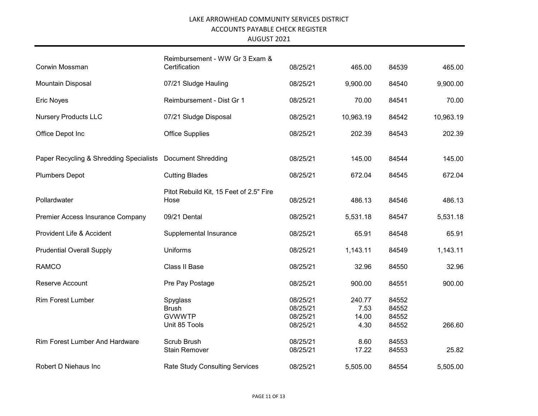| AUGUST 2021 |  |
|-------------|--|
|-------------|--|

| Corwin Mossman                                             | Reimbursement - WW Gr 3 Exam &<br>Certification            | 08/25/21                                     | 465.00                          | 84539                            | 465.00    |
|------------------------------------------------------------|------------------------------------------------------------|----------------------------------------------|---------------------------------|----------------------------------|-----------|
| Mountain Disposal                                          | 07/21 Sludge Hauling                                       | 08/25/21                                     | 9,900.00                        | 84540                            | 9,900.00  |
| <b>Eric Noyes</b>                                          | Reimbursement - Dist Gr 1                                  | 08/25/21                                     | 70.00                           | 84541                            | 70.00     |
| <b>Nursery Products LLC</b>                                | 07/21 Sludge Disposal                                      | 08/25/21                                     | 10,963.19                       | 84542                            | 10,963.19 |
| Office Depot Inc                                           | <b>Office Supplies</b>                                     | 08/25/21                                     | 202.39                          | 84543                            | 202.39    |
| Paper Recycling & Shredding Specialists Document Shredding |                                                            | 08/25/21                                     | 145.00                          | 84544                            | 145.00    |
| <b>Plumbers Depot</b>                                      | <b>Cutting Blades</b>                                      | 08/25/21                                     | 672.04                          | 84545                            | 672.04    |
| Pollardwater                                               | Pitot Rebuild Kit, 15 Feet of 2.5" Fire<br>Hose            | 08/25/21                                     | 486.13                          | 84546                            | 486.13    |
| Premier Access Insurance Company                           | 09/21 Dental                                               | 08/25/21                                     | 5,531.18                        | 84547                            | 5,531.18  |
| Provident Life & Accident                                  | Supplemental Insurance                                     | 08/25/21                                     | 65.91                           | 84548                            | 65.91     |
| <b>Prudential Overall Supply</b>                           | Uniforms                                                   | 08/25/21                                     | 1,143.11                        | 84549                            | 1,143.11  |
| <b>RAMCO</b>                                               | Class II Base                                              | 08/25/21                                     | 32.96                           | 84550                            | 32.96     |
| Reserve Account                                            | Pre Pay Postage                                            | 08/25/21                                     | 900.00                          | 84551                            | 900.00    |
| <b>Rim Forest Lumber</b>                                   | Spyglass<br><b>Brush</b><br><b>GVWWTP</b><br>Unit 85 Tools | 08/25/21<br>08/25/21<br>08/25/21<br>08/25/21 | 240.77<br>7.53<br>14.00<br>4.30 | 84552<br>84552<br>84552<br>84552 | 266.60    |
| <b>Rim Forest Lumber And Hardware</b>                      | Scrub Brush<br><b>Stain Remover</b>                        | 08/25/21<br>08/25/21                         | 8.60<br>17.22                   | 84553<br>84553                   | 25.82     |
| Robert D Niehaus Inc                                       | <b>Rate Study Consulting Services</b>                      | 08/25/21                                     | 5,505.00                        | 84554                            | 5,505.00  |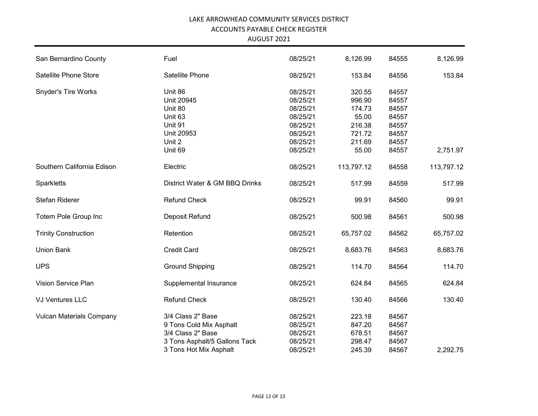| San Bernardino County           | Fuel                           | 08/25/21 | 8,126.99   | 84555 | 8,126.99   |
|---------------------------------|--------------------------------|----------|------------|-------|------------|
| Satellite Phone Store           | Satellite Phone                | 08/25/21 | 153.84     | 84556 | 153.84     |
| <b>Snyder's Tire Works</b>      | Unit 86                        | 08/25/21 | 320.55     | 84557 |            |
|                                 | <b>Unit 20945</b>              | 08/25/21 | 996.90     | 84557 |            |
|                                 | Unit 80                        | 08/25/21 | 174.73     | 84557 |            |
|                                 | Unit 63                        | 08/25/21 | 55.00      | 84557 |            |
|                                 | Unit 91                        | 08/25/21 | 216.38     | 84557 |            |
|                                 | Unit 20953                     | 08/25/21 | 721.72     | 84557 |            |
|                                 | Unit 2                         | 08/25/21 | 211.69     | 84557 |            |
|                                 | Unit 69                        | 08/25/21 | 55.00      | 84557 | 2,751.97   |
|                                 |                                |          |            |       |            |
| Southern California Edison      | Electric                       | 08/25/21 | 113,797.12 | 84558 | 113,797.12 |
| Sparkletts                      | District Water & GM BBQ Drinks | 08/25/21 | 517.99     | 84559 | 517.99     |
| Stefan Riderer                  | <b>Refund Check</b>            | 08/25/21 | 99.91      | 84560 | 99.91      |
| Totem Pole Group Inc            | Deposit Refund                 | 08/25/21 | 500.98     | 84561 | 500.98     |
|                                 |                                |          |            |       |            |
| <b>Trinity Construction</b>     | Retention                      | 08/25/21 | 65,757.02  | 84562 | 65,757.02  |
| <b>Union Bank</b>               | <b>Credit Card</b>             | 08/25/21 | 8,683.76   | 84563 | 8,683.76   |
| <b>UPS</b>                      | <b>Ground Shipping</b>         | 08/25/21 | 114.70     | 84564 | 114.70     |
| Vision Service Plan             | Supplemental Insurance         | 08/25/21 | 624.84     | 84565 | 624.84     |
| <b>VJ Ventures LLC</b>          | <b>Refund Check</b>            | 08/25/21 | 130.40     | 84566 | 130.40     |
| <b>Vulcan Materials Company</b> | 3/4 Class 2" Base              | 08/25/21 | 223.18     | 84567 |            |
|                                 | 9 Tons Cold Mix Asphalt        | 08/25/21 | 847.20     | 84567 |            |
|                                 | 3/4 Class 2" Base              | 08/25/21 | 678.51     | 84567 |            |
|                                 |                                |          |            |       |            |
|                                 | 3 Tons Asphalt/5 Gallons Tack  | 08/25/21 | 298.47     | 84567 |            |
|                                 | 3 Tons Hot Mix Asphalt         | 08/25/21 | 245.39     | 84567 | 2,292.75   |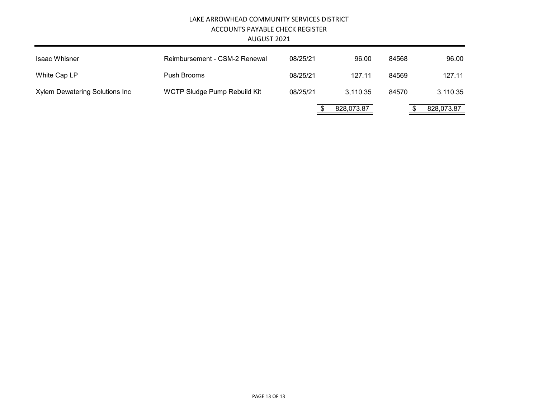| <b>Isaac Whisner</b>           | Reimbursement - CSM-2 Renewal | 08/25/21 | 96.00      | 84568 | 96.00      |
|--------------------------------|-------------------------------|----------|------------|-------|------------|
| White Cap LP                   | Push Brooms                   | 08/25/21 | 127.11     | 84569 | 127.11     |
| Xylem Dewatering Solutions Inc | WCTP Sludge Pump Rebuild Kit  | 08/25/21 | 3,110.35   | 84570 | 3,110.35   |
|                                |                               |          | 828,073.87 |       | 828,073.87 |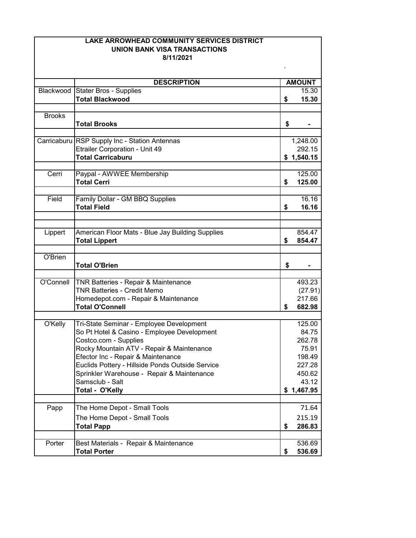| LAKE ARROWHEAD COMMUNITY SERVICES DISTRICT |                                                         |    |                        |  |
|--------------------------------------------|---------------------------------------------------------|----|------------------------|--|
| UNION BANK VISA TRANSACTIONS               |                                                         |    |                        |  |
|                                            | 8/11/2021                                               |    |                        |  |
|                                            |                                                         |    |                        |  |
|                                            |                                                         |    |                        |  |
| Blackwood                                  | <b>DESCRIPTION</b>                                      |    | <b>AMOUNT</b><br>15.30 |  |
|                                            | <b>Stater Bros - Supplies</b><br><b>Total Blackwood</b> |    | 15.30                  |  |
|                                            |                                                         | \$ |                        |  |
| <b>Brooks</b>                              |                                                         |    |                        |  |
|                                            | <b>Total Brooks</b>                                     | \$ |                        |  |
|                                            |                                                         |    |                        |  |
|                                            | Carricaburu RSP Supply Inc - Station Antennas           |    | 1,248.00               |  |
|                                            | Etrailer Corporation - Unit 49                          |    | 292.15                 |  |
|                                            | <b>Total Carricaburu</b>                                |    | \$1,540.15             |  |
|                                            |                                                         |    |                        |  |
| Cerri                                      | Paypal - AWWEE Membership                               |    | 125.00                 |  |
|                                            | <b>Total Cerri</b>                                      | \$ | 125.00                 |  |
|                                            |                                                         |    |                        |  |
| Field                                      | Family Dollar - GM BBQ Supplies                         |    | 16.16                  |  |
|                                            | <b>Total Field</b>                                      | \$ | 16.16                  |  |
|                                            |                                                         |    |                        |  |
|                                            |                                                         |    |                        |  |
| Lippert                                    | American Floor Mats - Blue Jay Building Supplies        |    | 854.47                 |  |
|                                            | <b>Total Lippert</b>                                    | \$ | 854.47                 |  |
| O'Brien                                    |                                                         |    |                        |  |
|                                            | <b>Total O'Brien</b>                                    | \$ |                        |  |
|                                            |                                                         |    |                        |  |
| O'Connell                                  | <b>TNR Batteries - Repair &amp; Maintenance</b>         |    | 493.23                 |  |
|                                            | <b>TNR Batteries - Credit Memo</b>                      |    | (27.91)                |  |
|                                            | Homedepot.com - Repair & Maintenance                    |    | 217.66                 |  |
|                                            | <b>Total O'Connell</b>                                  | \$ | 682.98                 |  |
|                                            |                                                         |    |                        |  |
| O'Kelly                                    | Tri-State Seminar - Employee Development                |    | 125.00                 |  |
|                                            | So Pt Hotel & Casino - Employee Development             |    | 84.75                  |  |
|                                            | Costco.com - Supplies                                   |    | 262.78                 |  |
|                                            | Rocky Mountain ATV - Repair & Maintenance               |    | 75.91                  |  |
|                                            | Efector Inc - Repair & Maintenance                      |    | 198.49                 |  |
|                                            | Euclids Pottery - Hillside Ponds Outside Service        |    | 227.28                 |  |
|                                            | Sprinkler Warehouse - Repair & Maintenance              |    | 450.62                 |  |
|                                            | Samsclub - Salt                                         |    | 43.12                  |  |
|                                            | Total - O'Kelly                                         |    | \$1,467.95             |  |
|                                            |                                                         |    |                        |  |
| Papp                                       | The Home Depot - Small Tools                            |    | 71.64                  |  |
|                                            | The Home Depot - Small Tools                            |    | 215.19                 |  |
|                                            | <b>Total Papp</b>                                       | \$ | 286.83                 |  |
|                                            |                                                         |    |                        |  |
| Porter                                     | Best Materials - Repair & Maintenance                   |    | 536.69                 |  |
|                                            | <b>Total Porter</b>                                     | \$ | 536.69                 |  |